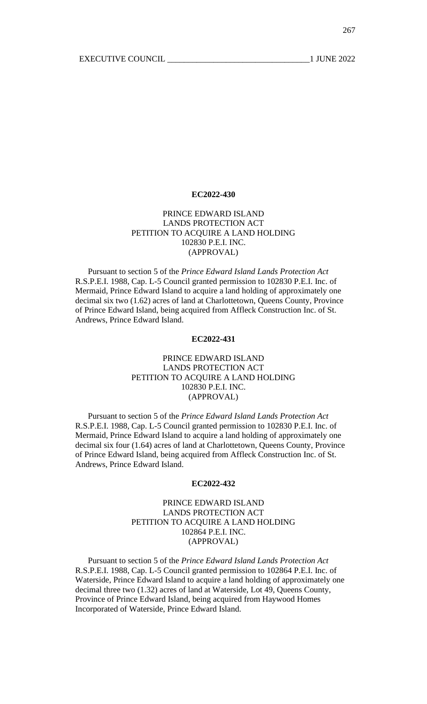# PRINCE EDWARD ISLAND LANDS PROTECTION ACT PETITION TO ACQUIRE A LAND HOLDING 102830 P.E.I. INC. (APPROVAL)

Pursuant to section 5 of the *Prince Edward Island Lands Protection Act* R.S.P.E.I. 1988, Cap. L-5 Council granted permission to 102830 P.E.I. Inc. of Mermaid, Prince Edward Island to acquire a land holding of approximately one decimal six two (1.62) acres of land at Charlottetown, Queens County, Province of Prince Edward Island, being acquired from Affleck Construction Inc. of St. Andrews, Prince Edward Island.

#### **EC2022-431**

## PRINCE EDWARD ISLAND LANDS PROTECTION ACT PETITION TO ACQUIRE A LAND HOLDING 102830 P.E.I. INC. (APPROVAL)

Pursuant to section 5 of the *Prince Edward Island Lands Protection Act* R.S.P.E.I. 1988, Cap. L-5 Council granted permission to 102830 P.E.I. Inc. of Mermaid, Prince Edward Island to acquire a land holding of approximately one decimal six four (1.64) acres of land at Charlottetown, Queens County, Province of Prince Edward Island, being acquired from Affleck Construction Inc. of St. Andrews, Prince Edward Island.

#### **EC2022-432**

## PRINCE EDWARD ISLAND LANDS PROTECTION ACT PETITION TO ACQUIRE A LAND HOLDING 102864 P.E.I. INC. (APPROVAL)

Pursuant to section 5 of the *Prince Edward Island Lands Protection Act* R.S.P.E.I. 1988, Cap. L-5 Council granted permission to 102864 P.E.I. Inc. of Waterside, Prince Edward Island to acquire a land holding of approximately one decimal three two (1.32) acres of land at Waterside, Lot 49, Queens County, Province of Prince Edward Island, being acquired from Haywood Homes Incorporated of Waterside, Prince Edward Island.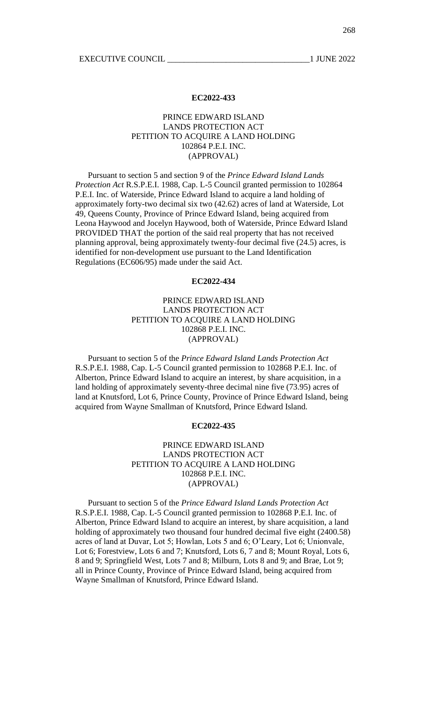### PRINCE EDWARD ISLAND LANDS PROTECTION ACT PETITION TO ACQUIRE A LAND HOLDING 102864 P.E.I. INC. (APPROVAL)

Pursuant to section 5 and section 9 of the *Prince Edward Island Lands Protection Act* R.S.P.E.I. 1988, Cap. L-5 Council granted permission to 102864 P.E.I. Inc. of Waterside, Prince Edward Island to acquire a land holding of approximately forty-two decimal six two (42.62) acres of land at Waterside, Lot 49, Queens County, Province of Prince Edward Island, being acquired from Leona Haywood and Jocelyn Haywood, both of Waterside, Prince Edward Island PROVIDED THAT the portion of the said real property that has not received planning approval, being approximately twenty-four decimal five (24.5) acres, is identified for non-development use pursuant to the Land Identification Regulations (EC606/95) made under the said Act.

#### **EC2022-434**

# PRINCE EDWARD ISLAND LANDS PROTECTION ACT PETITION TO ACQUIRE A LAND HOLDING 102868 P.E.I. INC. (APPROVAL)

Pursuant to section 5 of the *Prince Edward Island Lands Protection Act* R.S.P.E.I. 1988, Cap. L-5 Council granted permission to 102868 P.E.I. Inc. of Alberton, Prince Edward Island to acquire an interest, by share acquisition, in a land holding of approximately seventy-three decimal nine five (73.95) acres of land at Knutsford, Lot 6, Prince County, Province of Prince Edward Island, being acquired from Wayne Smallman of Knutsford, Prince Edward Island.

#### **EC2022-435**

### PRINCE EDWARD ISLAND LANDS PROTECTION ACT PETITION TO ACOUIRE A LAND HOLDING 102868 P.E.I. INC. (APPROVAL)

Pursuant to section 5 of the *Prince Edward Island Lands Protection Act* R.S.P.E.I. 1988, Cap. L-5 Council granted permission to 102868 P.E.I. Inc. of Alberton, Prince Edward Island to acquire an interest, by share acquisition, a land holding of approximately two thousand four hundred decimal five eight (2400.58) acres of land at Duvar, Lot 5; Howlan, Lots 5 and 6; O'Leary, Lot 6; Unionvale, Lot 6; Forestview, Lots 6 and 7; Knutsford, Lots 6, 7 and 8; Mount Royal, Lots 6, 8 and 9; Springfield West, Lots 7 and 8; Milburn, Lots 8 and 9; and Brae, Lot 9; all in Prince County, Province of Prince Edward Island, being acquired from Wayne Smallman of Knutsford, Prince Edward Island.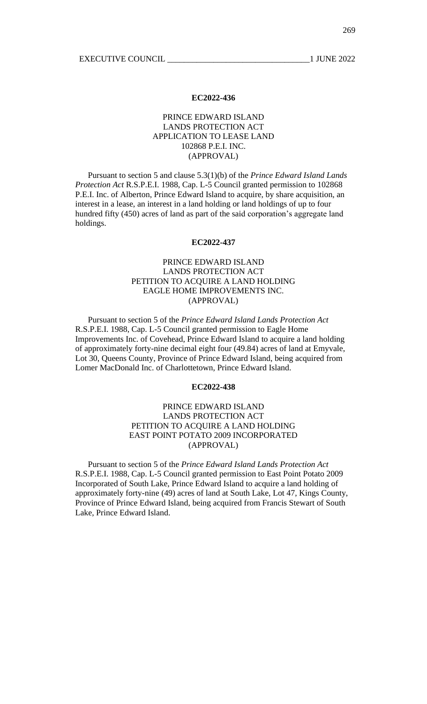### PRINCE EDWARD ISLAND LANDS PROTECTION ACT APPLICATION TO LEASE LAND 102868 P.E.I. INC. (APPROVAL)

Pursuant to section 5 and clause 5.3(1)(b) of the *Prince Edward Island Lands Protection Act* R.S.P.E.I. 1988, Cap. L-5 Council granted permission to 102868 P.E.I. Inc. of Alberton, Prince Edward Island to acquire, by share acquisition, an interest in a lease, an interest in a land holding or land holdings of up to four hundred fifty (450) acres of land as part of the said corporation's aggregate land holdings.

#### **EC2022-437**

# PRINCE EDWARD ISLAND LANDS PROTECTION ACT PETITION TO ACQUIRE A LAND HOLDING EAGLE HOME IMPROVEMENTS INC. (APPROVAL)

Pursuant to section 5 of the *Prince Edward Island Lands Protection Act* R.S.P.E.I. 1988, Cap. L-5 Council granted permission to Eagle Home Improvements Inc. of Covehead, Prince Edward Island to acquire a land holding of approximately forty-nine decimal eight four (49.84) acres of land at Emyvale, Lot 30, Queens County, Province of Prince Edward Island, being acquired from Lomer MacDonald Inc. of Charlottetown, Prince Edward Island.

### **EC2022-438**

## PRINCE EDWARD ISLAND LANDS PROTECTION ACT PETITION TO ACQUIRE A LAND HOLDING EAST POINT POTATO 2009 INCORPORATED (APPROVAL)

Pursuant to section 5 of the *Prince Edward Island Lands Protection Act* R.S.P.E.I. 1988, Cap. L-5 Council granted permission to East Point Potato 2009 Incorporated of South Lake, Prince Edward Island to acquire a land holding of approximately forty-nine (49) acres of land at South Lake, Lot 47, Kings County, Province of Prince Edward Island, being acquired from Francis Stewart of South Lake, Prince Edward Island.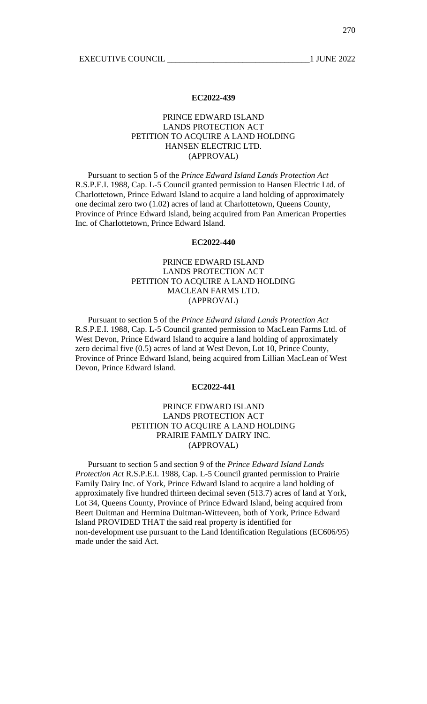### PRINCE EDWARD ISLAND LANDS PROTECTION ACT PETITION TO ACQUIRE A LAND HOLDING HANSEN ELECTRIC LTD. (APPROVAL)

Pursuant to section 5 of the *Prince Edward Island Lands Protection Act* R.S.P.E.I. 1988, Cap. L-5 Council granted permission to Hansen Electric Ltd. of Charlottetown, Prince Edward Island to acquire a land holding of approximately one decimal zero two (1.02) acres of land at Charlottetown, Queens County, Province of Prince Edward Island, being acquired from Pan American Properties Inc. of Charlottetown, Prince Edward Island.

#### **EC2022-440**

# PRINCE EDWARD ISLAND LANDS PROTECTION ACT PETITION TO ACQUIRE A LAND HOLDING MACLEAN FARMS LTD. (APPROVAL)

Pursuant to section 5 of the *Prince Edward Island Lands Protection Act* R.S.P.E.I. 1988, Cap. L-5 Council granted permission to MacLean Farms Ltd. of West Devon, Prince Edward Island to acquire a land holding of approximately zero decimal five (0.5) acres of land at West Devon, Lot 10, Prince County, Province of Prince Edward Island, being acquired from Lillian MacLean of West Devon, Prince Edward Island.

### **EC2022-441**

# PRINCE EDWARD ISLAND LANDS PROTECTION ACT PETITION TO ACQUIRE A LAND HOLDING PRAIRIE FAMILY DAIRY INC. (APPROVAL)

Pursuant to section 5 and section 9 of the *Prince Edward Island Lands Protection Act* R.S.P.E.I. 1988, Cap. L-5 Council granted permission to Prairie Family Dairy Inc. of York, Prince Edward Island to acquire a land holding of approximately five hundred thirteen decimal seven (513.7) acres of land at York, Lot 34, Queens County, Province of Prince Edward Island, being acquired from Beert Duitman and Hermina Duitman-Witteveen, both of York, Prince Edward Island PROVIDED THAT the said real property is identified for non-development use pursuant to the Land Identification Regulations (EC606/95) made under the said Act.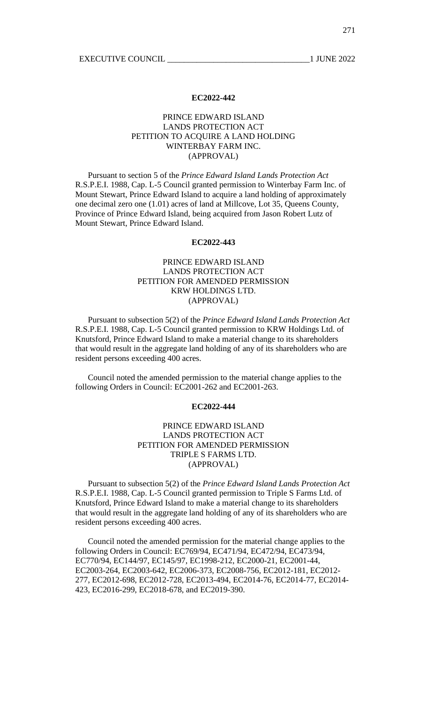## PRINCE EDWARD ISLAND LANDS PROTECTION ACT PETITION TO ACQUIRE A LAND HOLDING WINTERBAY FARM INC. (APPROVAL)

Pursuant to section 5 of the *Prince Edward Island Lands Protection Act* R.S.P.E.I. 1988, Cap. L-5 Council granted permission to Winterbay Farm Inc. of Mount Stewart, Prince Edward Island to acquire a land holding of approximately one decimal zero one (1.01) acres of land at Millcove, Lot 35, Queens County, Province of Prince Edward Island, being acquired from Jason Robert Lutz of Mount Stewart, Prince Edward Island.

#### **EC2022-443**

# PRINCE EDWARD ISLAND LANDS PROTECTION ACT PETITION FOR AMENDED PERMISSION KRW HOLDINGS LTD. (APPROVAL)

Pursuant to subsection 5(2) of the *Prince Edward Island Lands Protection Act* R.S.P.E.I. 1988, Cap. L-5 Council granted permission to KRW Holdings Ltd. of Knutsford, Prince Edward Island to make a material change to its shareholders that would result in the aggregate land holding of any of its shareholders who are resident persons exceeding 400 acres.

Council noted the amended permission to the material change applies to the following Orders in Council: EC2001-262 and EC2001-263.

#### **EC2022-444**

## PRINCE EDWARD ISLAND LANDS PROTECTION ACT PETITION FOR AMENDED PERMISSION TRIPLE S FARMS LTD. (APPROVAL)

Pursuant to subsection 5(2) of the *Prince Edward Island Lands Protection Act* R.S.P.E.I. 1988, Cap. L-5 Council granted permission to Triple S Farms Ltd. of Knutsford, Prince Edward Island to make a material change to its shareholders that would result in the aggregate land holding of any of its shareholders who are resident persons exceeding 400 acres.

Council noted the amended permission for the material change applies to the following Orders in Council: EC769/94, EC471/94, EC472/94, EC473/94, EC770/94, EC144/97, EC145/97, EC1998-212, EC2000-21, EC2001-44, EC2003-264, EC2003-642, EC2006-373, EC2008-756, EC2012-181, EC2012- 277, EC2012-698, EC2012-728, EC2013-494, EC2014-76, EC2014-77, EC2014- 423, EC2016-299, EC2018-678, and EC2019-390.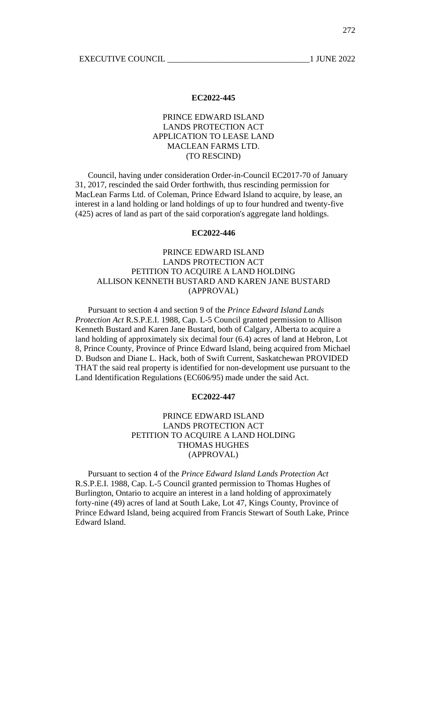### PRINCE EDWARD ISLAND LANDS PROTECTION ACT APPLICATION TO LEASE LAND MACLEAN FARMS LTD. (TO RESCIND)

Council, having under consideration Order-in-Council EC2017-70 of January 31, 2017, rescinded the said Order forthwith, thus rescinding permission for MacLean Farms Ltd. of Coleman, Prince Edward Island to acquire, by lease, an interest in a land holding or land holdings of up to four hundred and twenty-five (425) acres of land as part of the said corporation's aggregate land holdings.

#### **EC2022-446**

# PRINCE EDWARD ISLAND LANDS PROTECTION ACT PETITION TO ACQUIRE A LAND HOLDING ALLISON KENNETH BUSTARD AND KAREN JANE BUSTARD (APPROVAL)

Pursuant to section 4 and section 9 of the *Prince Edward Island Lands Protection Act* R.S.P.E.I. 1988, Cap. L-5 Council granted permission to Allison Kenneth Bustard and Karen Jane Bustard, both of Calgary, Alberta to acquire a land holding of approximately six decimal four (6.4) acres of land at Hebron, Lot 8, Prince County, Province of Prince Edward Island, being acquired from Michael D. Budson and Diane L. Hack, both of Swift Current, Saskatchewan PROVIDED THAT the said real property is identified for non-development use pursuant to the Land Identification Regulations (EC606/95) made under the said Act.

#### **EC2022-447**

### PRINCE EDWARD ISLAND LANDS PROTECTION ACT PETITION TO ACQUIRE A LAND HOLDING THOMAS HUGHES (APPROVAL)

Pursuant to section 4 of the *Prince Edward Island Lands Protection Act* R.S.P.E.I. 1988, Cap. L-5 Council granted permission to Thomas Hughes of Burlington, Ontario to acquire an interest in a land holding of approximately forty-nine (49) acres of land at South Lake, Lot 47, Kings County, Province of Prince Edward Island, being acquired from Francis Stewart of South Lake, Prince Edward Island.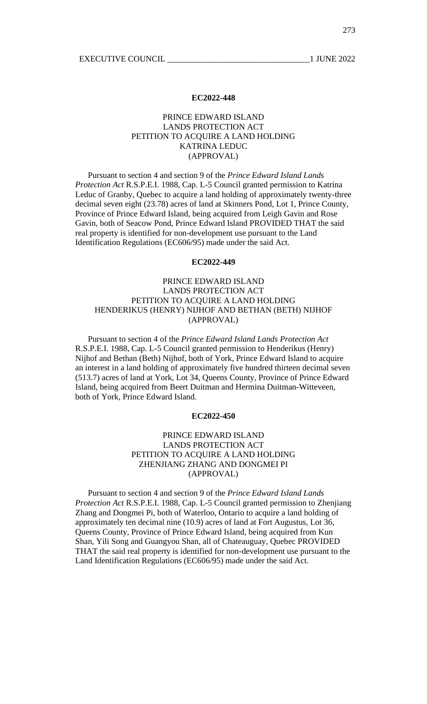### PRINCE EDWARD ISLAND LANDS PROTECTION ACT PETITION TO ACQUIRE A LAND HOLDING KATRINA LEDUC (APPROVAL)

Pursuant to section 4 and section 9 of the *Prince Edward Island Lands Protection Act* R.S.P.E.I. 1988, Cap. L-5 Council granted permission to Katrina Leduc of Granby, Quebec to acquire a land holding of approximately twenty-three decimal seven eight (23.78) acres of land at Skinners Pond, Lot 1, Prince County, Province of Prince Edward Island, being acquired from Leigh Gavin and Rose Gavin, both of Seacow Pond, Prince Edward Island PROVIDED THAT the said real property is identified for non-development use pursuant to the Land Identification Regulations (EC606/95) made under the said Act.

#### **EC2022-449**

## PRINCE EDWARD ISLAND LANDS PROTECTION ACT PETITION TO ACQUIRE A LAND HOLDING HENDERIKUS (HENRY) NIJHOF AND BETHAN (BETH) NIJHOF (APPROVAL)

Pursuant to section 4 of the *Prince Edward Island Lands Protection Act* R.S.P.E.I. 1988, Cap. L-5 Council granted permission to Henderikus (Henry) Nijhof and Bethan (Beth) Nijhof, both of York, Prince Edward Island to acquire an interest in a land holding of approximately five hundred thirteen decimal seven (513.7) acres of land at York, Lot 34, Queens County, Province of Prince Edward Island, being acquired from Beert Duitman and Hermina Duitman-Witteveen, both of York, Prince Edward Island.

### **EC2022-450**

### PRINCE EDWARD ISLAND LANDS PROTECTION ACT PETITION TO ACQUIRE A LAND HOLDING ZHENJIANG ZHANG AND DONGMEI PI (APPROVAL)

Pursuant to section 4 and section 9 of the *Prince Edward Island Lands Protection Act* R.S.P.E.I. 1988, Cap. L-5 Council granted permission to Zhenjiang Zhang and Dongmei Pi, both of Waterloo, Ontario to acquire a land holding of approximately ten decimal nine (10.9) acres of land at Fort Augustus, Lot 36, Queens County, Province of Prince Edward Island, being acquired from Kun Shan, Yili Song and Guangyou Shan, all of Chateauguay, Quebec PROVIDED THAT the said real property is identified for non-development use pursuant to the Land Identification Regulations (EC606/95) made under the said Act.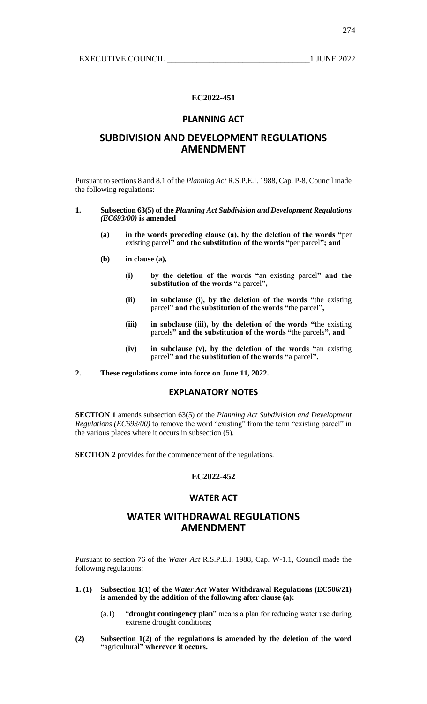274

#### **EC2022-451**

### **PLANNING ACT**

# **SUBDIVISION AND DEVELOPMENT REGULATIONS AMENDMENT**

Pursuant to sections 8 and 8.1 of the *Planning Act* R.S.P.E.I. 1988, Cap. P-8, Council made the following regulations:

#### **1. Subsection 63(5) of the** *Planning Act Subdivision and Development Regulations (EC693/00)* **is amended**

- **(a) in the words preceding clause (a), by the deletion of the words "**per existing parcel**" and the substitution of the words "**per parcel**"; and**
- **(b) in clause (a),**
	- **(i) by the deletion of the words "**an existing parcel**" and the substitution of the words "**a parcel**",**
	- **(ii) in subclause (i), by the deletion of the words "**the existing parcel**" and the substitution of the words "**the parcel**",**
	- **(iii) in subclause (iii), by the deletion of the words "**the existing parcels**" and the substitution of the words "**the parcels**", and**
	- **(iv) in subclause (v), by the deletion of the words "**an existing parcel**" and the substitution of the words "**a parcel**".**
- **2. These regulations come into force on June 11, 2022.**

### **EXPLANATORY NOTES**

**SECTION 1** amends subsection 63(5) of the *Planning Act Subdivision and Development Regulations (EC693/00)* to remove the word "existing" from the term "existing parcel" in the various places where it occurs in subsection (5).

**SECTION 2** provides for the commencement of the regulations.

## **EC2022-452**

## **WATER ACT**

# **WATER WITHDRAWAL REGULATIONS AMENDMENT**

Pursuant to section 76 of the *Water Act* R.S.P.E.I. 1988, Cap. W-1.1, Council made the following regulations:

- **1. (1) Subsection 1(1) of the** *Water Act* **Water Withdrawal Regulations (EC506/21) is amended by the addition of the following after clause (a):**
	- (a.1) "**drought contingency plan**" means a plan for reducing water use during extreme drought conditions;
- **(2) Subsection 1(2) of the regulations is amended by the deletion of the word "**agricultural**" wherever it occurs.**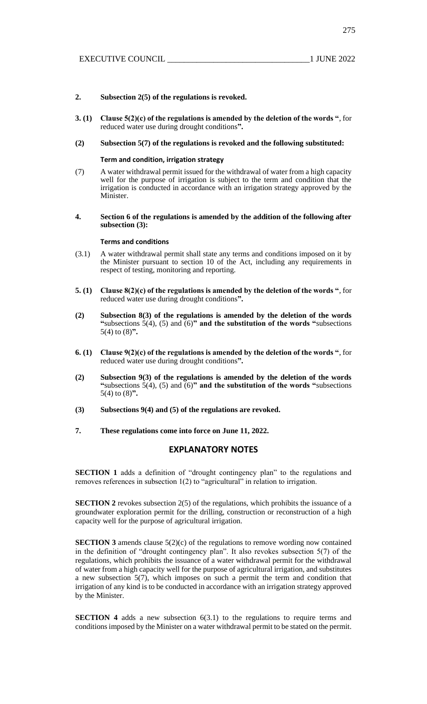275

#### **2. Subsection 2(5) of the regulations is revoked.**

**3. (1) Clause 5(2)(c) of the regulations is amended by the deletion of the words "**, for reduced water use during drought conditions**".**

#### **(2) Subsection 5(7) of the regulations is revoked and the following substituted:**

### **Term and condition, irrigation strategy**

- (7) A water withdrawal permit issued for the withdrawal of water from a high capacity well for the purpose of irrigation is subject to the term and condition that the irrigation is conducted in accordance with an irrigation strategy approved by the Minister.
- **4. Section 6 of the regulations is amended by the addition of the following after subsection (3):**

#### **Terms and conditions**

- (3.1) A water withdrawal permit shall state any terms and conditions imposed on it by the Minister pursuant to section 10 of the Act, including any requirements in respect of testing, monitoring and reporting.
- **5. (1) Clause 8(2)(c) of the regulations is amended by the deletion of the words "**, for reduced water use during drought conditions**".**
- **(2) Subsection 8(3) of the regulations is amended by the deletion of the words**  "subsections  $5(4)$ ,  $(5)$  and  $(6)$ " and the substitution of the words "subsections" 5(4) to (8)**".**
- **6. (1) Clause 9(2)(c) of the regulations is amended by the deletion of the words "**, for reduced water use during drought conditions**".**
- **(2) Subsection 9(3) of the regulations is amended by the deletion of the words**  "subsections  $5(4)$ ,  $(5)$  and  $(6)$ " and the substitution of the words "subsections" 5(4) to (8)**".**
- **(3) Subsections 9(4) and (5) of the regulations are revoked.**
- **7. These regulations come into force on June 11, 2022.**

# **EXPLANATORY NOTES**

**SECTION 1** adds a definition of "drought contingency plan" to the regulations and removes references in subsection 1(2) to "agricultural" in relation to irrigation.

**SECTION 2** revokes subsection 2(5) of the regulations, which prohibits the issuance of a groundwater exploration permit for the drilling, construction or reconstruction of a high capacity well for the purpose of agricultural irrigation.

**SECTION 3** amends clause 5(2)(c) of the regulations to remove wording now contained in the definition of "drought contingency plan". It also revokes subsection 5(7) of the regulations, which prohibits the issuance of a water withdrawal permit for the withdrawal of water from a high capacity well for the purpose of agricultural irrigation, and substitutes a new subsection 5(7), which imposes on such a permit the term and condition that irrigation of any kind is to be conducted in accordance with an irrigation strategy approved by the Minister.

**SECTION 4** adds a new subsection 6(3.1) to the regulations to require terms and conditions imposed by the Minister on a water withdrawal permit to be stated on the permit.